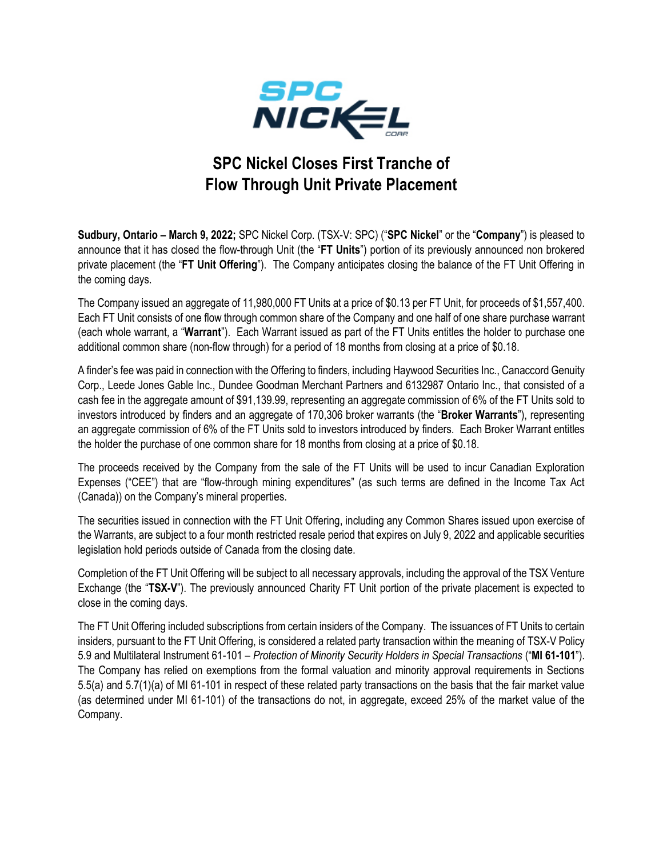

## **SPC Nickel Closes First Tranche of Flow Through Unit Private Placement**

**Sudbury, Ontario – March 9, 2022;** SPC Nickel Corp. (TSX-V: SPC) ("**SPC Nickel**" or the "**Company**") is pleased to announce that it has closed the flow-through Unit (the "**FT Units**") portion of its previously announced non brokered private placement (the "**FT Unit Offering**"). The Company anticipates closing the balance of the FT Unit Offering in the coming days.

The Company issued an aggregate of 11,980,000 FT Units at a price of \$0.13 per FT Unit, for proceeds of \$1,557,400. Each FT Unit consists of one flow through common share of the Company and one half of one share purchase warrant (each whole warrant, a "**Warrant**"). Each Warrant issued as part of the FT Units entitles the holder to purchase one additional common share (non-flow through) for a period of 18 months from closing at a price of \$0.18.

A finder's fee was paid in connection with the Offering to finders, including Haywood Securities Inc., Canaccord Genuity Corp., Leede Jones Gable Inc., Dundee Goodman Merchant Partners and 6132987 Ontario Inc., that consisted of a cash fee in the aggregate amount of \$91,139.99, representing an aggregate commission of 6% of the FT Units sold to investors introduced by finders and an aggregate of 170,306 broker warrants (the "**Broker Warrants**"), representing an aggregate commission of 6% of the FT Units sold to investors introduced by finders. Each Broker Warrant entitles the holder the purchase of one common share for 18 months from closing at a price of \$0.18.

The proceeds received by the Company from the sale of the FT Units will be used to incur Canadian Exploration Expenses ("CEE") that are "flow-through mining expenditures" (as such terms are defined in the Income Tax Act (Canada)) on the Company's mineral properties.

The securities issued in connection with the FT Unit Offering, including any Common Shares issued upon exercise of the Warrants, are subject to a four month restricted resale period that expires on July 9, 2022 and applicable securities legislation hold periods outside of Canada from the closing date.

Completion of the FT Unit Offering will be subject to all necessary approvals, including the approval of the TSX Venture Exchange (the "**TSX-V**"). The previously announced Charity FT Unit portion of the private placement is expected to close in the coming days.

The FT Unit Offering included subscriptions from certain insiders of the Company. The issuances of FT Units to certain insiders, pursuant to the FT Unit Offering, is considered a related party transaction within the meaning of TSX-V Policy 5.9 and Multilateral Instrument 61-101 – *Protection of Minority Security Holders in Special Transactions* ("**MI 61-101**"). The Company has relied on exemptions from the formal valuation and minority approval requirements in Sections 5.5(a) and 5.7(1)(a) of MI 61-101 in respect of these related party transactions on the basis that the fair market value (as determined under MI 61-101) of the transactions do not, in aggregate, exceed 25% of the market value of the Company.